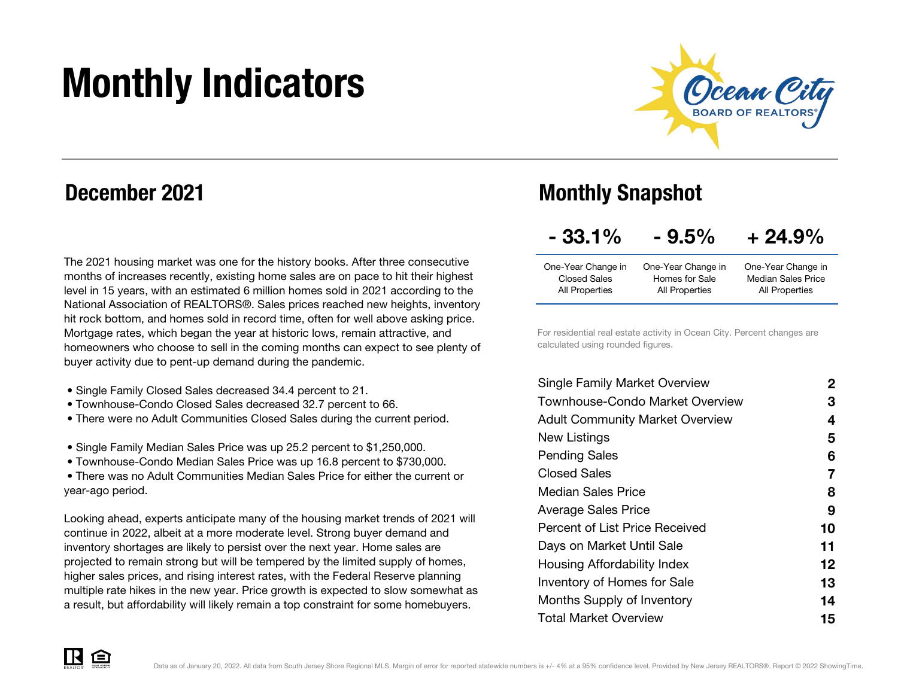# Monthly Indicators



### December 2021

The 2021 housing market was one for the history books. After three consecutive months of increases recently, existing home sales are on pace to hit their highest level in 15 years, with an estimated 6 million homes sold in 2021 according to the National Association of REALTORS®. Sales prices reached new heights, inventory hit rock bottom, and homes sold in record time, often for well above asking price. Mortgage rates, which began the year at historic lows, remain attractive, and homeowners who choose to sell in the coming months can expect to see plenty of buyer activity due to pent-up demand during the pandemic.

- Single Family Closed Sales decreased 34.4 percent to 21.
- Townhouse-Condo Closed Sales decreased 32.7 percent to 66.
- There were no Adult Communities Closed Sales during the current period.
- Single Family Median Sales Price was up 25.2 percent to \$1,250,000.
- Townhouse-Condo Median Sales Price was up 16.8 percent to \$730,000.

 • There was no Adult Communities Median Sales Price for either the current or year-ago period.

Looking ahead, experts anticipate many of the housing market trends of 2021 will continue in 2022, albeit at a more moderate level. Strong buyer demand and inventory shortages are likely to persist over the next year. Home sales are projected to remain strong but will be tempered by the limited supply of homes, higher sales prices, and rising interest rates, with the Federal Reserve planning multiple rate hikes in the new year. Price growth is expected to slow somewhat as a result, but affordability will likely remain a top constraint for some homebuyers.

### Monthly Snapshot

| $-33.1%$ | $-9.5%$ | $+24.9%$ |
|----------|---------|----------|
|          |         |          |

| One-Year Change in | One-Year Change in | One-Year Change in        |
|--------------------|--------------------|---------------------------|
| Closed Sales       | Homes for Sale     | <b>Median Sales Price</b> |
| All Properties     | All Properties     | All Properties            |

For residential real estate activity in Ocean City. Percent changes are calculated using rounded figures.

| <b>Single Family Market Overview</b>   | 2  |
|----------------------------------------|----|
| Townhouse-Condo Market Overview        | З  |
| <b>Adult Community Market Overview</b> | 4  |
| New Listings                           | 5  |
| <b>Pending Sales</b>                   | 6  |
| Closed Sales                           | 7  |
| <b>Median Sales Price</b>              | 8  |
| <b>Average Sales Price</b>             | 9  |
| Percent of List Price Received         | 10 |
| Days on Market Until Sale              | 11 |
| Housing Affordability Index            | 12 |
| <b>Inventory of Homes for Sale</b>     | 13 |
| Months Supply of Inventory             | 14 |
| <b>Total Market Overview</b>           | 15 |

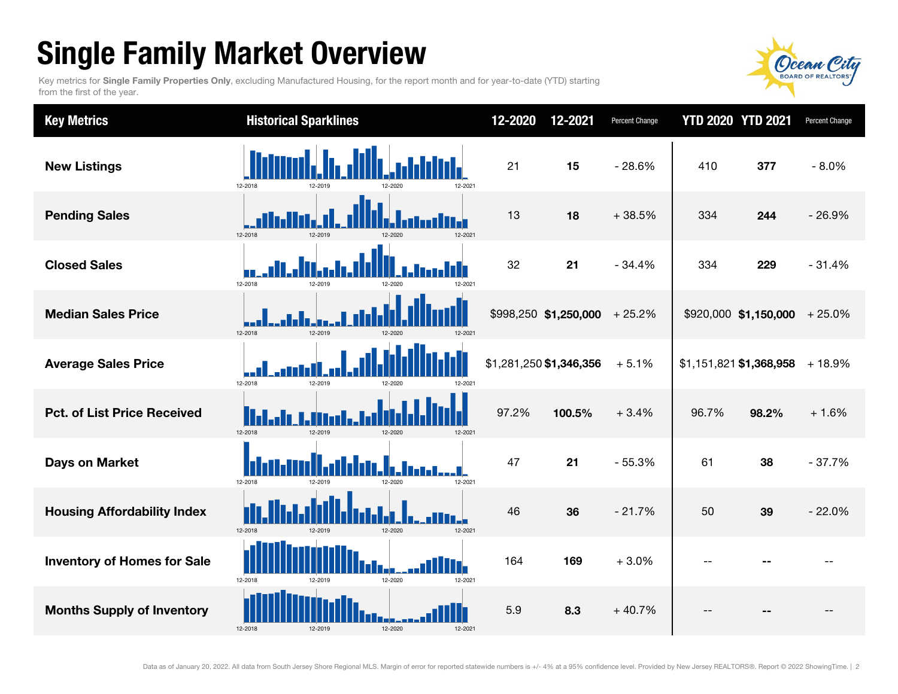# Single Family Market Overview

Key metrics for Single Family Properties Only, excluding Manufactured Housing, for the report month and for year-to-date (YTD) starting from the first of the year.



| <b>Key Metrics</b>                 | <b>Historical Sparklines</b>                    | 12-2020 | 12-2021                        | Percent Change | <b>YTD 2020 YTD 2021</b> |                                | Percent Change |
|------------------------------------|-------------------------------------------------|---------|--------------------------------|----------------|--------------------------|--------------------------------|----------------|
| <b>New Listings</b>                | 12-2018<br>12-2019<br>12-2021                   | 21      | 15                             | $-28.6%$       | 410                      | 377                            | $-8.0%$        |
| <b>Pending Sales</b>               | 12-2018<br>12-2019<br>12-2020<br>12-2021        | 13      | 18                             | $+38.5%$       | 334                      | 244                            | $-26.9%$       |
| <b>Closed Sales</b>                | 12-2018<br>12-2019<br>2-202                     | 32      | 21                             | $-34.4%$       | 334                      | 229                            | $-31.4%$       |
| <b>Median Sales Price</b>          | 12-2018<br>12-2019<br>12-2020<br>12-2021        |         | $$998,250$ \$1,250,000 + 25.2% |                |                          | $$920,000$ \$1,150,000 + 25.0% |                |
| <b>Average Sales Price</b>         | 12-2018<br>12-2019<br>$2 - 202$                 |         | \$1,281,250 \$1,346,356        | $+5.1%$        |                          | \$1,151,821 \$1,368,958        | $+18.9%$       |
| <b>Pct. of List Price Received</b> | 12-2018<br>12-2019<br>12-2020<br>12-2021        | 97.2%   | 100.5%                         | $+3.4%$        | 96.7%                    | 98.2%                          | $+1.6%$        |
| <b>Days on Market</b>              | 12-2018<br>12-2021<br>12-2019<br>12-2020        | 47      | 21                             | $-55.3%$       | 61                       | 38                             | $-37.7%$       |
| <b>Housing Affordability Index</b> | 12-2018<br>12-2019<br>12-2020<br>12-2021        | 46      | 36                             | $-21.7%$       | 50                       | 39                             | $-22.0%$       |
| <b>Inventory of Homes for Sale</b> | IT.<br>12-2018<br>12-2020<br>12-2021<br>12-2019 | 164     | 169                            | $+3.0%$        | $-$                      |                                |                |
| <b>Months Supply of Inventory</b>  | 12-2018<br>12-2020<br>12-2019<br>12-2021        | 5.9     | 8.3                            | $+40.7%$       |                          |                                |                |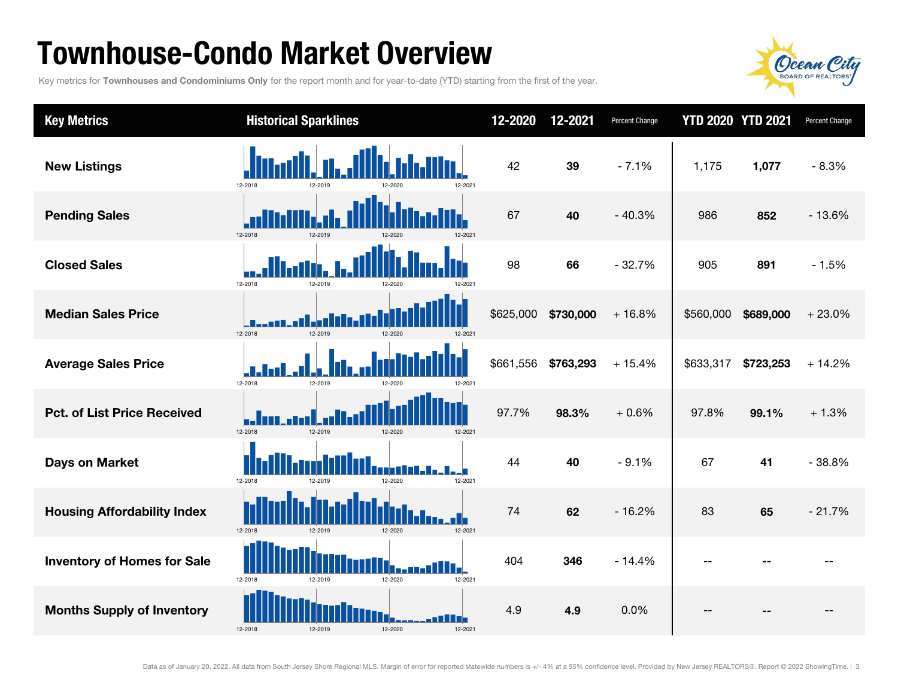### Townhouse-Condo Market Overview

Key metrics for Townhouses and Condominiums Only for the report month and for year-to-date (YTD) starting from the first of the year.



| <b>Key Metrics</b>                 | <b>Historical Sparklines</b>             | 12-2020   | 12-2021   | Percent Change |           | <b>YTD 2020 YTD 2021</b> | Percent Change |
|------------------------------------|------------------------------------------|-----------|-----------|----------------|-----------|--------------------------|----------------|
| <b>New Listings</b>                | 12-2018<br>12-2019<br>12-2021            | 42        | 39        | $-7.1%$        | 1,175     | 1,077                    | $-8.3%$        |
| <b>Pending Sales</b>               | 12-2018<br>12-2019<br>12-2021<br>12-2020 | 67        | 40        | $-40.3%$       | 986       | 852                      | $-13.6%$       |
| <b>Closed Sales</b>                | 12-2018<br>12-2019                       | 98        | 66        | $-32.7%$       | 905       | 891                      | $-1.5%$        |
| <b>Median Sales Price</b>          | 12-2018<br>12-2019<br>12-2020<br>12-2021 | \$625,000 | \$730,000 | $+16.8%$       | \$560,000 | \$689,000                | $+23.0%$       |
| <b>Average Sales Price</b>         | 12-2018<br>12-2019<br>12-2020<br>2-2021  | \$661,556 | \$763,293 | $+15.4%$       | \$633,317 | \$723,253                | $+14.2%$       |
| <b>Pct. of List Price Received</b> | 12-2018<br>12-2019<br>12-2020<br>12-2021 | 97.7%     | 98.3%     | $+0.6%$        | 97.8%     | 99.1%                    | $+1.3%$        |
| <b>Days on Market</b>              | 12-2018<br>12-2019<br>12-2020<br>12-2021 | 44        | 40        | $-9.1%$        | 67        | 41                       | $-38.8%$       |
| <b>Housing Affordability Index</b> | 12-2018<br>12-2019<br>12-2020<br>12-2021 | 74        | 62        | $-16.2%$       | 83        | 65                       | $-21.7%$       |
| <b>Inventory of Homes for Sale</b> | 12-2018<br>12-2019<br>12-2020<br>12-2021 | 404       | 346       | $-14.4%$       | $-$       |                          |                |
| <b>Months Supply of Inventory</b>  | 12-2018<br>12-2020<br>12-2019<br>12-2021 | 4.9       | 4.9       | 0.0%           | $-$       |                          |                |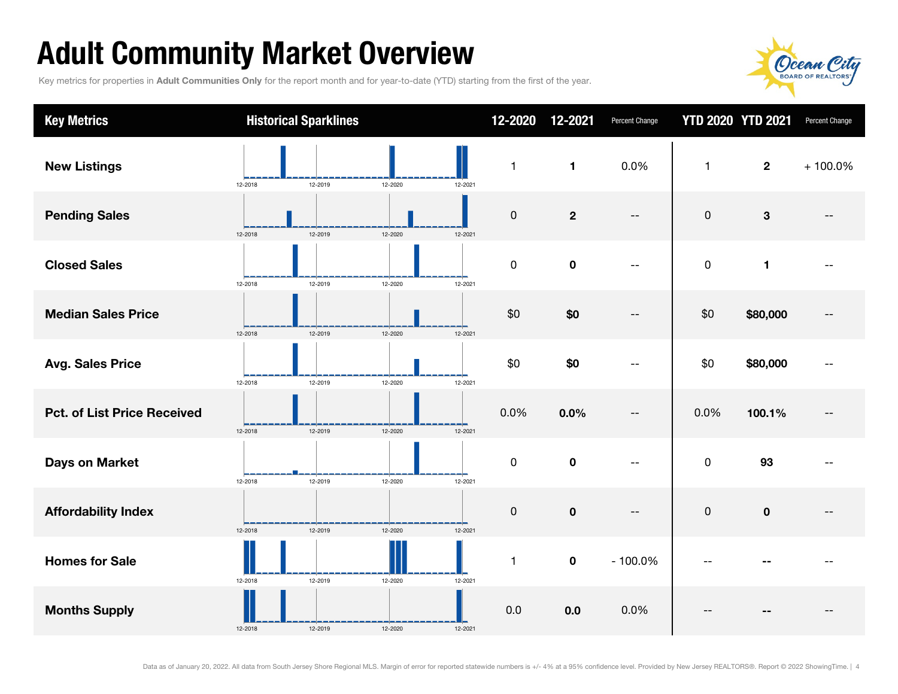# Adult Community Market Overview

Key metrics for properties in Adult Communities Only for the report month and for year-to-date (YTD) starting from the first of the year.



| <b>Key Metrics</b>                 |         | <b>Historical Sparklines</b> |         |         | 12-2020   | 12-2021        | Percent Change | <b>YTD 2020 YTD 2021</b> |                | Percent Change |
|------------------------------------|---------|------------------------------|---------|---------|-----------|----------------|----------------|--------------------------|----------------|----------------|
| <b>New Listings</b>                | 12-2018 | 12-2019                      | 12-2020 | 12-2021 | 1         | $\blacksquare$ | 0.0%           | $\mathbf{1}$             | $\overline{2}$ | $+100.0\%$     |
| <b>Pending Sales</b>               | 12-2018 | 12-2019                      | 12-2020 | 12-2021 | $\pmb{0}$ | $\mathbf 2$    | $-\,-$         | $\pmb{0}$                | 3              |                |
| <b>Closed Sales</b>                | 12-2018 | 12-2019                      | 12-2020 | 12-2021 | $\pmb{0}$ | $\pmb{0}$      | --             | $\pmb{0}$                | 1              |                |
| <b>Median Sales Price</b>          | 12-2018 | 12-2019                      | 12-2020 | 12-2021 | \$0       | \$0            | --             | \$0                      | \$80,000       |                |
| <b>Avg. Sales Price</b>            | 12-2018 | 12-2019                      | 12-2020 | 12-2021 | \$0       | \$0            | --             | \$0                      | \$80,000       |                |
| <b>Pct. of List Price Received</b> | 12-2018 | 12-2019                      | 12-2020 | 12-2021 | 0.0%      | 0.0%           | --             | 0.0%                     | 100.1%         |                |
| Days on Market                     | 12-2018 | 12-2019                      | 12-2020 | 12-2021 | $\pmb{0}$ | $\mathbf 0$    | --             | $\mathbf 0$              | 93             |                |
| <b>Affordability Index</b>         | 12-2018 | 12-2019                      | 12-2020 | 12-2021 | 0         | $\pmb{0}$      | $-\,-$         | $\pmb{0}$                | $\pmb{0}$      |                |
| <b>Homes for Sale</b>              | 12-2018 | 12-2019                      | 12-2020 | 12-2021 | 1         | $\pmb{0}$      | $-100.0%$      |                          |                |                |
| <b>Months Supply</b>               | 12-2018 | 12-2019                      | 12-2020 | 12-2021 | 0.0       | 0.0            | 0.0%           |                          |                |                |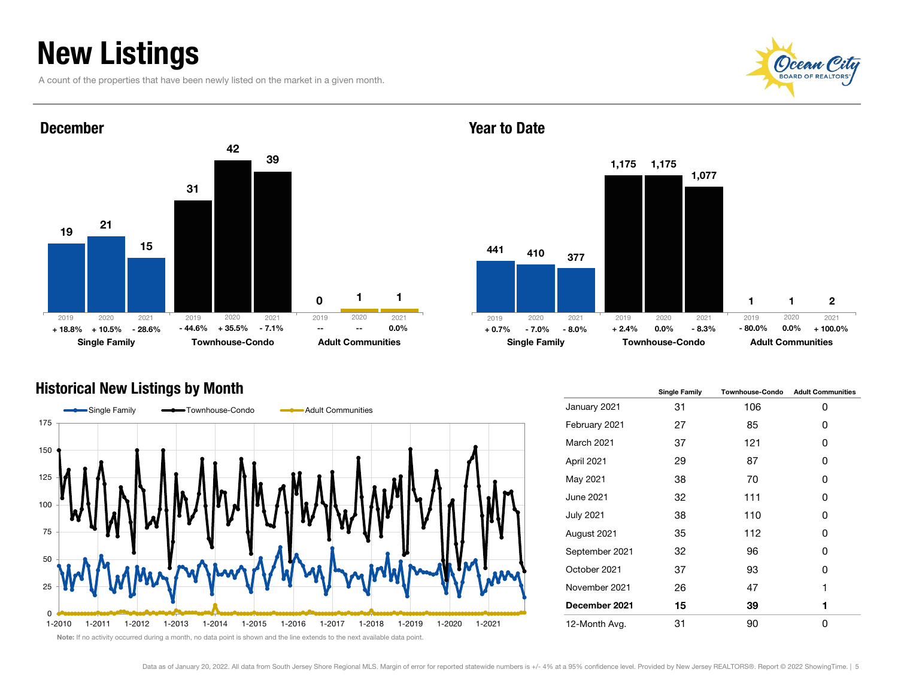## New Listings

A count of the properties that have been newly listed on the market in a given month.





#### Year to Date



#### Historical New Listings by Month



|                  | <b>Single Family</b> | <b>Townhouse-Condo</b> | <b>Adult Communities</b> |
|------------------|----------------------|------------------------|--------------------------|
| January 2021     | 31                   | 106                    | 0                        |
| February 2021    | 27                   | 85                     | 0                        |
| March 2021       | 37                   | 121                    | 0                        |
| April 2021       | 29                   | 87                     | 0                        |
| May 2021         | 38                   | 70                     | ŋ                        |
| <b>June 2021</b> | 32                   | 111                    | 0                        |
| <b>July 2021</b> | 38                   | 110                    | 0                        |
| August 2021      | 35                   | 112                    | 0                        |
| September 2021   | 32                   | 96                     | ŋ                        |
| October 2021     | 37                   | 93                     | 0                        |
| November 2021    | 26                   | 47                     | 1                        |
| December 2021    | 15                   | 39                     | 1                        |
| 12-Month Avg.    | 31                   | 90                     | O                        |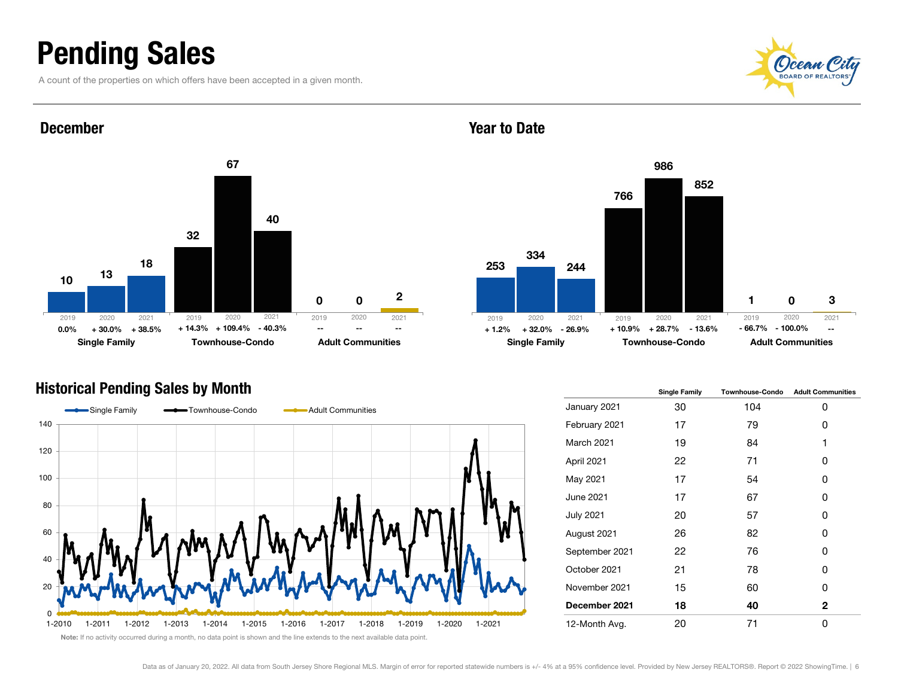### Pending Sales

December

A count of the properties on which offers have been accepted in a given month.







#### Historical Pending Sales by Month



|                  | <b>Single Family</b> | <b>Townhouse-Condo</b> | <b>Adult Communities</b> |
|------------------|----------------------|------------------------|--------------------------|
| January 2021     | 30                   | 104                    | 0                        |
| February 2021    | 17                   | 79                     | 0                        |
| March 2021       | 19                   | 84                     | 1                        |
| April 2021       | 22                   | 71                     | 0                        |
| May 2021         | 17                   | 54                     | 0                        |
| <b>June 2021</b> | 17                   | 67                     | 0                        |
| <b>July 2021</b> | 20                   | 57                     | 0                        |
| August 2021      | 26                   | 82                     | 0                        |
| September 2021   | 22                   | 76                     | 0                        |
| October 2021     | 21                   | 78                     | 0                        |
| November 2021    | 15                   | 60                     | 0                        |
| December 2021    | 18                   | 40                     | $\mathbf{2}$             |
| 12-Month Avg.    | 20                   | 71                     | 0                        |

Note: If no activity occurred during a month, no data point is shown and the line extends to the next available data point.

#### Year to Date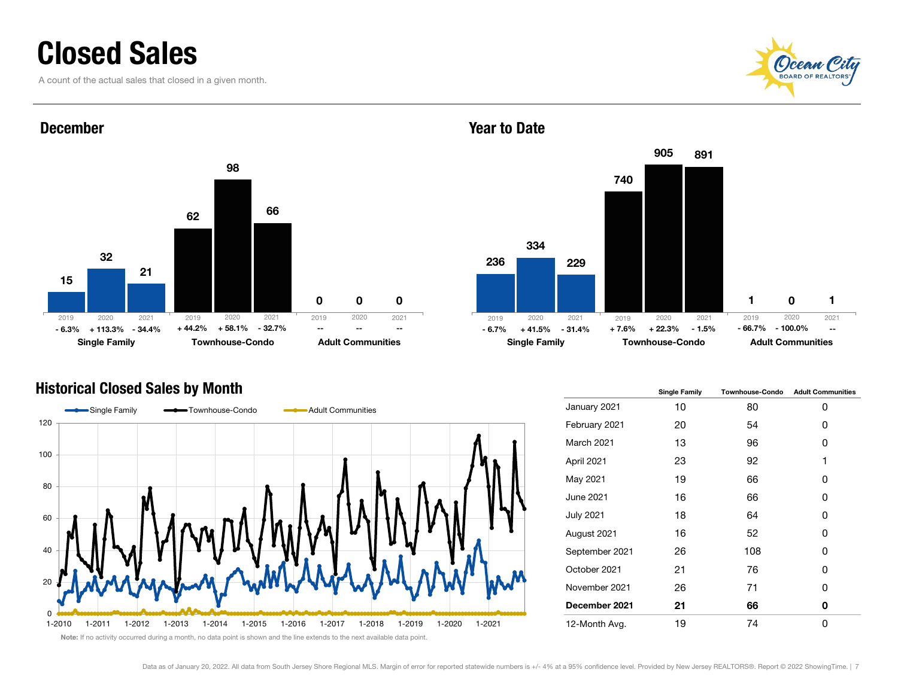### Closed Sales

December

A count of the actual sales that closed in a given month.







### Historical Closed Sales by Month



|                  | <b>Single Family</b> | <b>Townhouse-Condo</b> | <b>Adult Communities</b> |
|------------------|----------------------|------------------------|--------------------------|
| January 2021     | 10                   | 80                     | 0                        |
| February 2021    | 20                   | 54                     | 0                        |
| March 2021       | 13                   | 96                     | 0                        |
| April 2021       | 23                   | 92                     | 1                        |
| May 2021         | 19                   | 66                     | 0                        |
| <b>June 2021</b> | 16                   | 66                     | 0                        |
| <b>July 2021</b> | 18                   | 64                     | 0                        |
| August 2021      | 16                   | 52                     | 0                        |
| September 2021   | 26                   | 108                    | 0                        |
| October 2021     | 21                   | 76                     | 0                        |
| November 2021    | 26                   | 71                     | 0                        |
| December 2021    | 21                   | 66                     | 0                        |
| 12-Month Avg.    | 19                   | 74                     | 0                        |

Note: If no activity occurred during a month, no data point is shown and the line extends to the next available data point.

#### Year to Date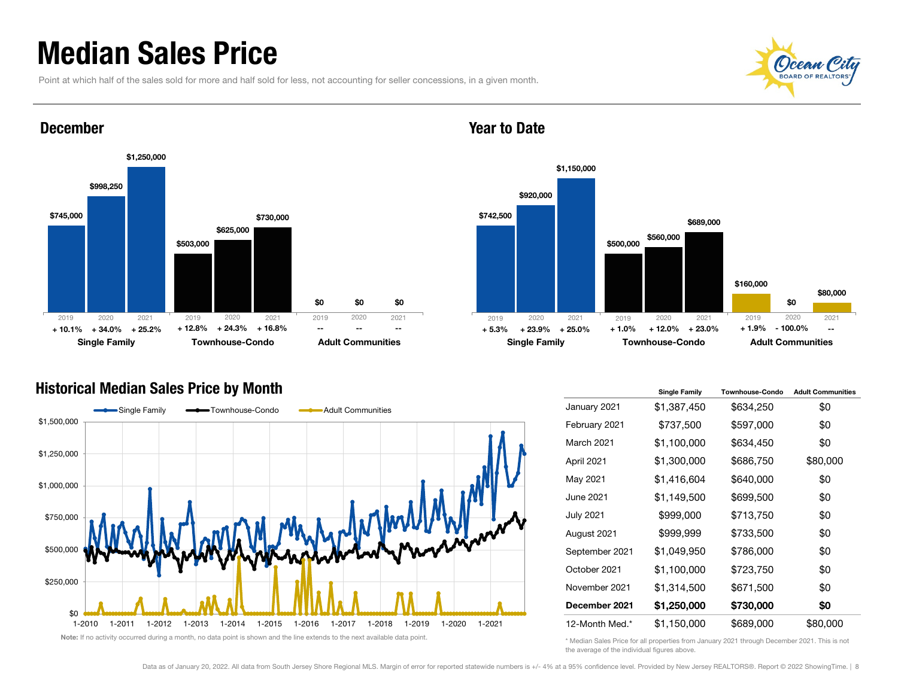### Median Sales Price

Point at which half of the sales sold for more and half sold for less, not accounting for seller concessions, in a given month.





#### December



### Year to Date

#### Historical Median Sales Price by Month



|                   | <b>Single Family</b> | <b>Townhouse-Condo</b> | <b>Adult Communities</b> |
|-------------------|----------------------|------------------------|--------------------------|
| January 2021      | \$1,387,450          | \$634,250              | \$0                      |
| February 2021     | \$737,500            | \$597,000              | \$0                      |
| <b>March 2021</b> | \$1,100,000          | \$634,450              | \$0                      |
| April 2021        | \$1,300,000          | \$686,750              | \$80,000                 |
| May 2021          | \$1,416,604          | \$640,000              | \$0                      |
| June 2021         | \$1,149,500          | \$699,500              | \$0                      |
| July 2021         | \$999,000            | \$713,750              | \$0                      |
| August 2021       | \$999,999            | \$733,500              | \$0                      |
| September 2021    | \$1,049,950          | \$786,000              | \$0                      |
| October 2021      | \$1,100,000          | \$723,750              | \$0                      |
| November 2021     | \$1,314,500          | \$671,500              | \$0                      |
| December 2021     | \$1,250,000          | \$730,000              | \$0                      |
| 12-Month Med.*    | \$1,150,000          | \$689,000              | \$80,000                 |

\* Median Sales Price for all properties from January 2021 through December 2021. This is not the average of the individual figures above.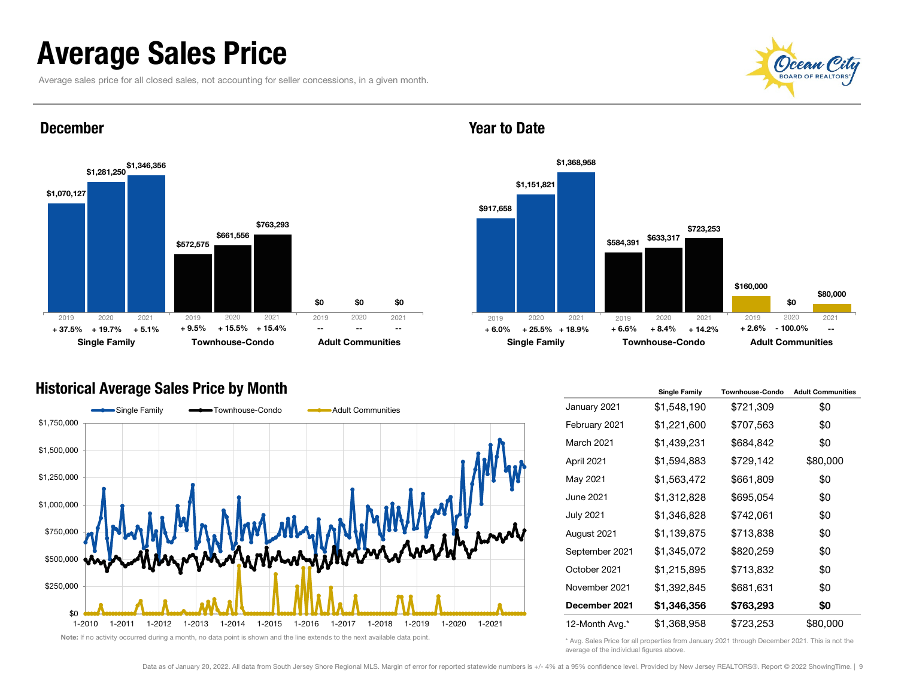### Average Sales Price

Average sales price for all closed sales, not accounting for seller concessions, in a given month.





#### December





#### Historical Average Sales Price by Month



|                   | <b>Single Family</b> | <b>Townhouse-Condo</b> | <b>Adult Communities</b> |
|-------------------|----------------------|------------------------|--------------------------|
| January 2021      | \$1,548,190          | \$721,309              | \$0                      |
| February 2021     | \$1,221,600          | \$707,563              | \$0                      |
| <b>March 2021</b> | \$1,439,231          | \$684,842              | \$0                      |
| April 2021        | \$1,594,883          | \$729,142              | \$80,000                 |
| May 2021          | \$1,563,472          | \$661,809              | \$0                      |
| June 2021         | \$1,312,828          | \$695,054              | \$0                      |
| <b>July 2021</b>  | \$1,346,828          | \$742,061              | \$0                      |
| August 2021       | \$1,139,875          | \$713,838              | \$0                      |
| September 2021    | \$1,345,072          | \$820,259              | \$0                      |
| October 2021      | \$1,215,895          | \$713,832              | \$0                      |
| November 2021     | \$1,392,845          | \$681,631              | \$0                      |
| December 2021     | \$1,346,356          | \$763,293              | \$0                      |
| 12-Month Avg.*    | \$1,368,958          | \$723,253              | \$80,000                 |

\* Avg. Sales Price for all properties from January 2021 through December 2021. This is not the average of the individual figures above.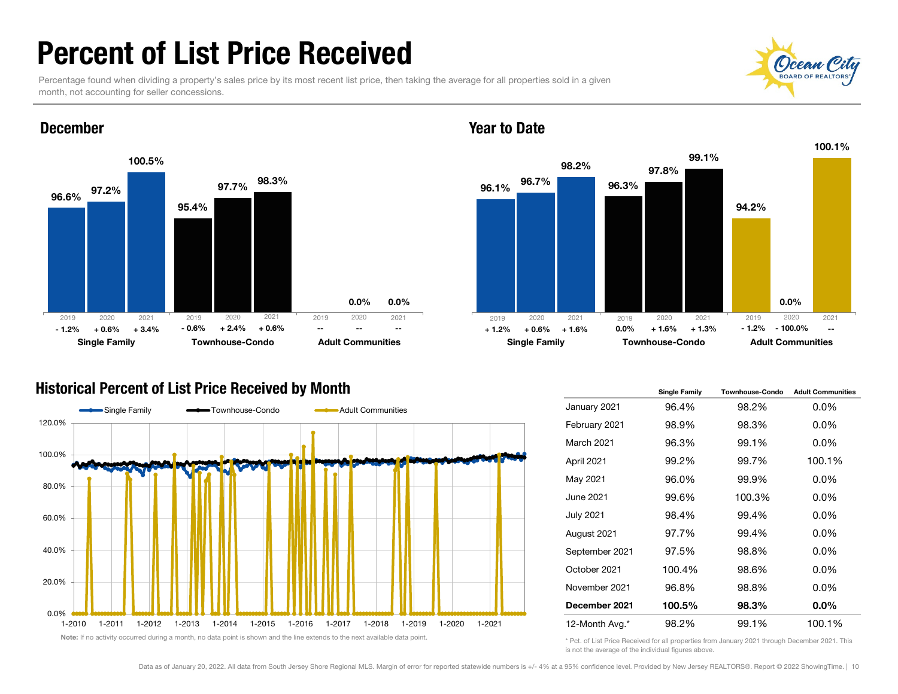### Percent of List Price Received

Percentage found when dividing a property's sales price by its most recent list price, then taking the average for all properties sold in a given month, not accounting for seller concessions.







### Historical Percent of List Price Received by Month





#### Year to Date

|                  | <b>Single Family</b> | <b>Townhouse-Condo</b> | <b>Adult Communities</b> |
|------------------|----------------------|------------------------|--------------------------|
| January 2021     | 96.4%                | 98.2%                  | $0.0\%$                  |
| February 2021    | 98.9%                | 98.3%                  | $0.0\%$                  |
| March 2021       | 96.3%                | 99.1%                  | $0.0\%$                  |
| April 2021       | 99.2%                | 99.7%                  | 100.1%                   |
| May 2021         | 96.0%                | 99.9%                  | $0.0\%$                  |
| June 2021        | 99.6%                | 100.3%                 | $0.0\%$                  |
| <b>July 2021</b> | 98.4%                | 99.4%                  | $0.0\%$                  |
| August 2021      | 97.7%                | 99.4%                  | $0.0\%$                  |
| September 2021   | 97.5%                | 98.8%                  | $0.0\%$                  |
| October 2021     | 100.4%               | 98.6%                  | $0.0\%$                  |
| November 2021    | 96.8%                | 98.8%                  | $0.0\%$                  |
| December 2021    | 100.5%               | 98.3%                  | $0.0\%$                  |
| 12-Month Avg.*   | 98.2%                | 99.1%                  | 100.1%                   |

\* Pct. of List Price Received for all properties from January 2021 through December 2021. This is not the average of the individual figures above.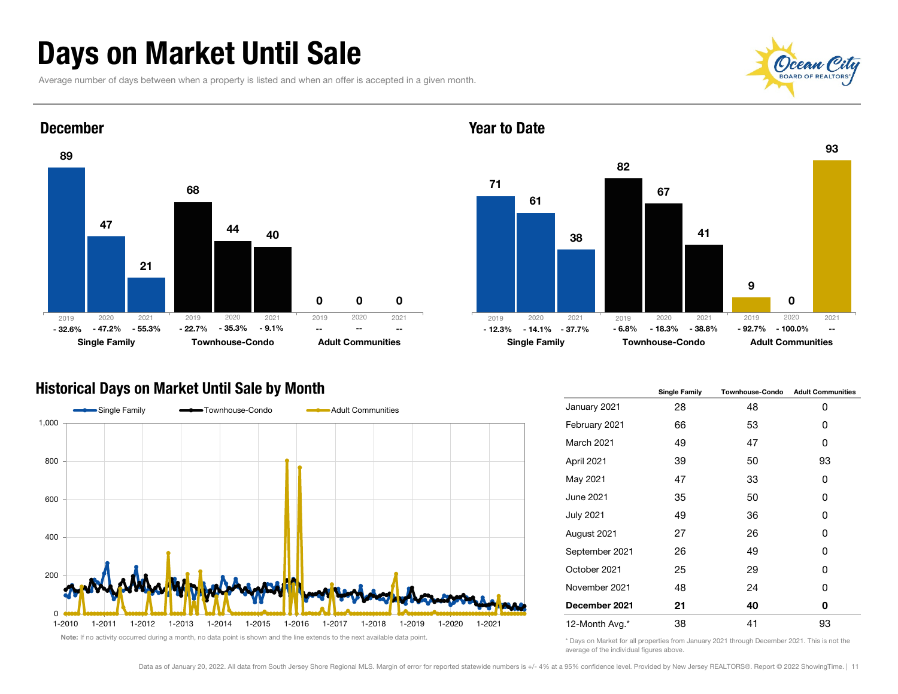### Days on Market Until Sale

Average number of days between when a property is listed and when an offer is accepted in a given month.



93



#### December



Year to Date

### Historical Days on Market Until Sale by Month



|                  | <b>Single Family</b> | <b>Townhouse-Condo</b> | <b>Adult Communities</b> |  |  |
|------------------|----------------------|------------------------|--------------------------|--|--|
| January 2021     | 28                   | 48                     | 0                        |  |  |
| February 2021    | 66                   | 53                     | 0                        |  |  |
| March 2021       | 49                   | 47                     | 0                        |  |  |
| April 2021       | 39                   | 50                     | 93                       |  |  |
| May 2021         | 47                   | 33                     | 0                        |  |  |
| June 2021        | 35                   | 50                     | 0                        |  |  |
| <b>July 2021</b> | 49                   | 36                     | 0                        |  |  |
| August 2021      | 27                   | 26                     | 0                        |  |  |
| September 2021   | 26                   | 49                     | 0                        |  |  |
| October 2021     | 25                   | 29                     | 0                        |  |  |
| November 2021    | 48                   | 24                     | 0                        |  |  |
| December 2021    | 21                   | 40                     | 0                        |  |  |
| 12-Month Avg.*   | 38                   | 41                     | 93                       |  |  |

\* Days on Market for all properties from January 2021 through December 2021. This is not the average of the individual figures above.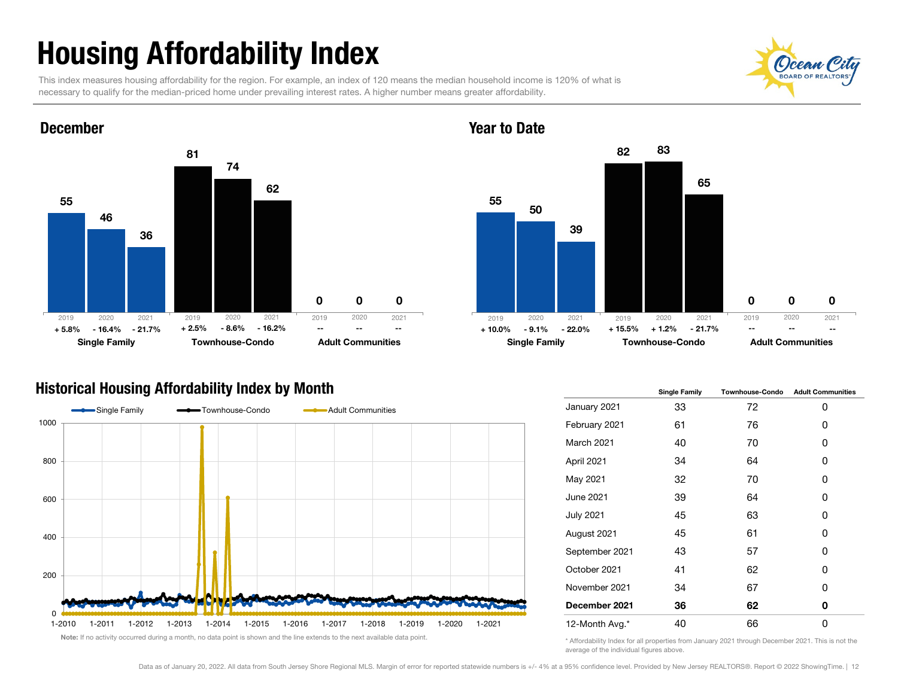# Housing Affordability Index

This index measures housing affordability for the region. For example, an index of 120 means the median household income is 120% of what is necessary to qualify for the median-priced home under prevailing interest rates. A higher number means greater affordability.



#### Year to Date



### Historical Housing Affordability Index by Month



|                   | <b>Single Family</b> | <b>Townhouse-Condo</b> | <b>Adult Communities</b> |  |  |
|-------------------|----------------------|------------------------|--------------------------|--|--|
| January 2021      | 33                   | 72                     | 0                        |  |  |
| February 2021     | 61                   | 76                     | 0                        |  |  |
| <b>March 2021</b> | 40                   | 70                     | 0                        |  |  |
| April 2021        | 34                   | 64                     | 0                        |  |  |
| May 2021          | 32                   | 70                     | 0                        |  |  |
| June 2021         | 39                   | 64                     | 0                        |  |  |
| <b>July 2021</b>  | 45                   | 63                     | 0                        |  |  |
| August 2021       | 45                   | 61                     | 0                        |  |  |
| September 2021    | 43                   | 57                     | 0                        |  |  |
| October 2021      | 41                   | 62                     | 0                        |  |  |
| November 2021     | 34                   | 67                     | 0                        |  |  |
| December 2021     | 36                   | 62                     | 0                        |  |  |
| 12-Month Avg.*    | 40                   | 66                     | 0                        |  |  |

\* Affordability Index for all properties from January 2021 through December 2021. This is not the average of the individual figures above.

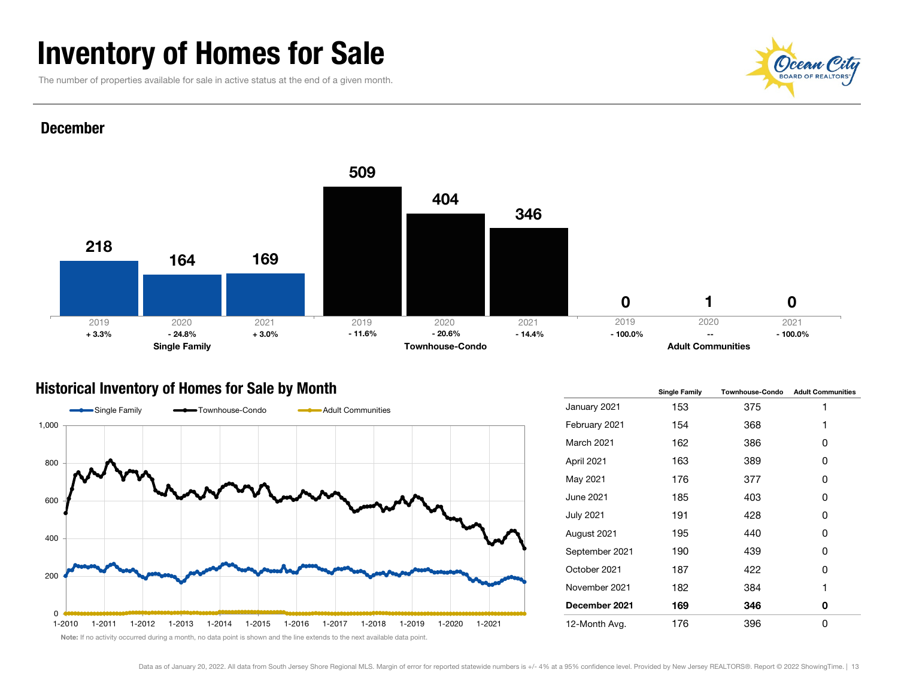### Inventory of Homes for Sale

The number of properties available for sale in active status at the end of a given month.



#### December



### Historical Inventory of Homes for Sale by Month



|                  | <b>Single Family</b> | <b>Townhouse-Condo</b> | <b>Adult Communities</b> |  |  |
|------------------|----------------------|------------------------|--------------------------|--|--|
| January 2021     | 153                  | 375                    | 1                        |  |  |
| February 2021    | 154                  | 368                    | 1                        |  |  |
| March 2021       | 162                  | 386                    | 0                        |  |  |
| April 2021       | 163                  | 389                    | 0                        |  |  |
| May 2021         | 176                  | 377                    | 0                        |  |  |
| June 2021        | 185                  | 403                    | 0                        |  |  |
| <b>July 2021</b> | 191                  | 428                    | 0                        |  |  |
| August 2021      | 195                  | 440                    | 0                        |  |  |
| September 2021   | 190                  | 439                    | 0                        |  |  |
| October 2021     | 187                  | 422                    | 0                        |  |  |
| November 2021    | 182                  | 384                    | 1                        |  |  |
| December 2021    | 169                  | 346                    | 0                        |  |  |
| 12-Month Avg.    | 176                  | 396                    | 0                        |  |  |

Note: If no activity occurred during a month, no data point is shown and the line extends to the next available data point.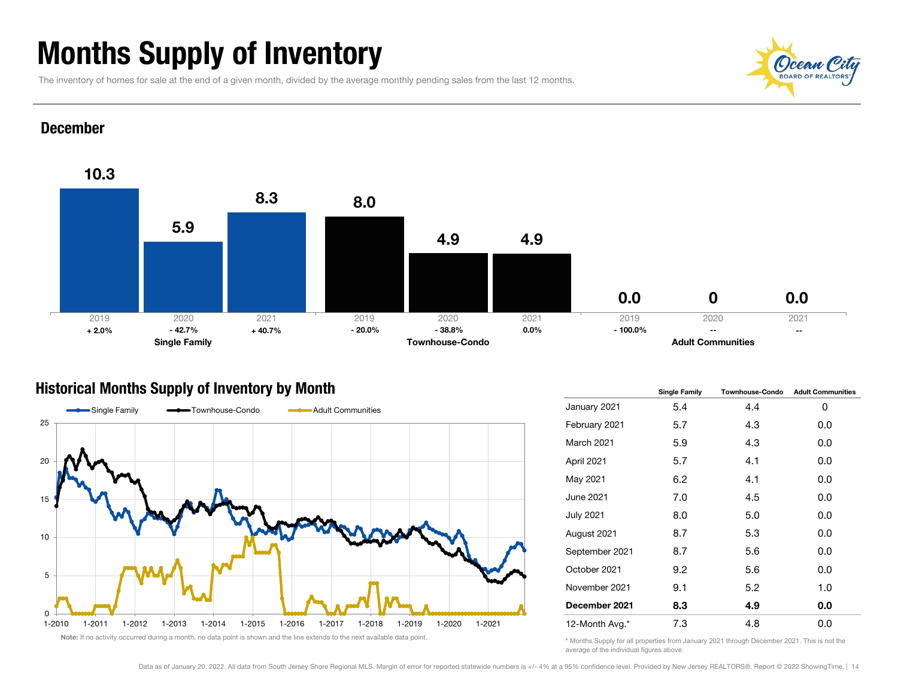## Months Supply of Inventory

The inventory of homes for sale at the end of a given month, divided by the average monthly pending sales from the last 12 months.



#### December



### Historical Months Supply of Inventory by Month



|                  | <b>Single Family</b> | <b>Townhouse-Condo</b> | <b>Adult Communities</b> |  |  |
|------------------|----------------------|------------------------|--------------------------|--|--|
| January 2021     | 5.4                  | 4.4                    | 0                        |  |  |
| February 2021    | 5.7                  | 4.3                    | 0.0                      |  |  |
| March 2021       | 5.9                  | 4.3                    | 0.0                      |  |  |
| April 2021       | 5.7                  | 4.1                    | 0.0                      |  |  |
| May 2021         | 6.2                  | 4.1                    | 0.0                      |  |  |
| June 2021        | 7.0                  | 4.5                    | 0.0                      |  |  |
| <b>July 2021</b> | 8.0                  | 5.0                    | 0.0                      |  |  |
| August 2021      | 8.7                  | 5.3                    | 0.0                      |  |  |
| September 2021   | 8.7                  | 5.6                    | 0.0                      |  |  |
| October 2021     | 9.2                  | 5.6                    | 0.0                      |  |  |
| November 2021    | 9.1                  | 5.2                    | 1.0                      |  |  |
| December 2021    | 8.3                  | 4.9                    | 0.0                      |  |  |
| 12-Month Avg.*   | 7.3                  | 4.8                    | 0.0                      |  |  |

\* Months Supply for all properties from January 2021 through December 2021. This is not the average of the individual figures above.